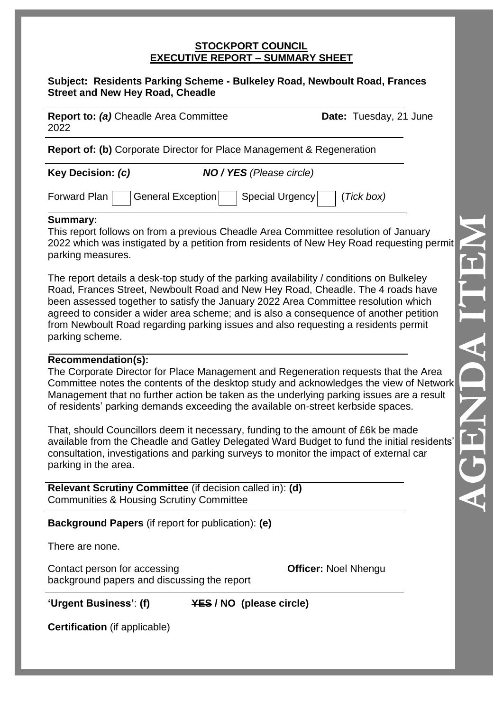#### **STOCKPORT COUNCIL EXECUTIVE REPORT – SUMMARY SHEET**

#### **Subject: Residents Parking Scheme - Bulkeley Road, Newboult Road, Frances Street and New Hey Road, Cheadle**

| <b>Report to: (a)</b> Cheadle Area Committee | <b>Date:</b> Tuesday, 21 June |
|----------------------------------------------|-------------------------------|
| 2022                                         |                               |

**Report of: (b)** Corporate Director for Place Management & Regeneration

**Key Decision:** *(c) NO / YES (Please circle)*

| Forward Plan |  | General Exception |  | Special Urgency |  | $\mid$ (Tick box) |
|--------------|--|-------------------|--|-----------------|--|-------------------|
|--------------|--|-------------------|--|-----------------|--|-------------------|

### **Summary:**

This report follows on from a previous Cheadle Area Committee resolution of January 2022 which was instigated by a petition from residents of New Hey Road requesting permit parking measures.

The report details a desk-top study of the parking availability / conditions on Bulkeley Road, Frances Street, Newboult Road and New Hey Road, Cheadle. The 4 roads have been assessed together to satisfy the January 2022 Area Committee resolution which agreed to consider a wider area scheme; and is also a consequence of another petition from Newboult Road regarding parking issues and also requesting a residents permit parking scheme.

#### **Recommendation(s):**

The Corporate Director for Place Management and Regeneration requests that the Area Committee notes the contents of the desktop study and acknowledges the view of Network Management that no further action be taken as the underlying parking issues are a result of residents' parking demands exceeding the available on-street kerbside spaces.

That, should Councillors deem it necessary, funding to the amount of £6k be made available from the Cheadle and Gatley Delegated Ward Budget to fund the initial residents' consultation, investigations and parking surveys to monitor the impact of external car parking in the area.

**Relevant Scrutiny Committee** (if decision called in): **(d)** Communities & Housing Scrutiny Committee

**Background Papers** (if report for publication): **(e)**

There are none.

Contact person for accessing **Officer:** Noel Nhengu background papers and discussing the report

**'Urgent Business'**: **(f) YES / NO (please circle)**

**Certification** (if applicable)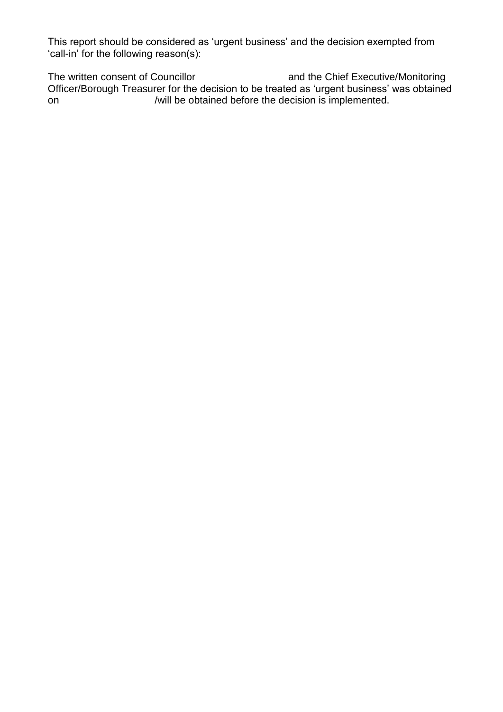This report should be considered as 'urgent business' and the decision exempted from 'call-in' for the following reason(s):

The written consent of Councillor **and the Chief Executive/Monitoring** Officer/Borough Treasurer for the decision to be treated as 'urgent business' was obtained on /will be obtained before the decision is implemented.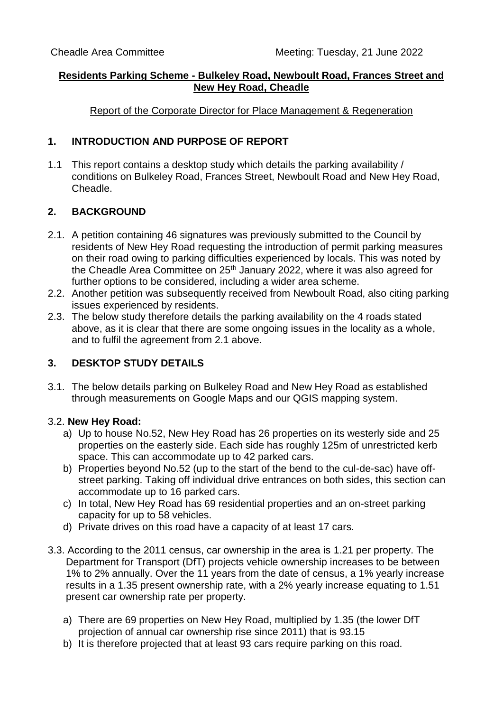### **Residents Parking Scheme - Bulkeley Road, Newboult Road, Frances Street and New Hey Road, Cheadle**

Report of the Corporate Director for Place Management & Regeneration

# **1. INTRODUCTION AND PURPOSE OF REPORT**

1.1 This report contains a desktop study which details the parking availability / conditions on Bulkeley Road, Frances Street, Newboult Road and New Hey Road, Cheadle.

# **2. BACKGROUND**

- 2.1. A petition containing 46 signatures was previously submitted to the Council by residents of New Hey Road requesting the introduction of permit parking measures on their road owing to parking difficulties experienced by locals. This was noted by the Cheadle Area Committee on 25<sup>th</sup> January 2022, where it was also agreed for further options to be considered, including a wider area scheme.
- 2.2. Another petition was subsequently received from Newboult Road, also citing parking issues experienced by residents.
- 2.3. The below study therefore details the parking availability on the 4 roads stated above, as it is clear that there are some ongoing issues in the locality as a whole, and to fulfil the agreement from 2.1 above.

# **3. DESKTOP STUDY DETAILS**

3.1. The below details parking on Bulkeley Road and New Hey Road as established through measurements on Google Maps and our QGIS mapping system.

# 3.2. **New Hey Road:**

- a) Up to house No.52, New Hey Road has 26 properties on its westerly side and 25 properties on the easterly side. Each side has roughly 125m of unrestricted kerb space. This can accommodate up to 42 parked cars.
- b) Properties beyond No.52 (up to the start of the bend to the cul-de-sac) have offstreet parking. Taking off individual drive entrances on both sides, this section can accommodate up to 16 parked cars.
- c) In total, New Hey Road has 69 residential properties and an on-street parking capacity for up to 58 vehicles.
- d) Private drives on this road have a capacity of at least 17 cars.
- 3.3. According to the 2011 census, car ownership in the area is 1.21 per property. The Department for Transport (DfT) projects vehicle ownership increases to be between 1% to 2% annually. Over the 11 years from the date of census, a 1% yearly increase results in a 1.35 present ownership rate, with a 2% yearly increase equating to 1.51 present car ownership rate per property.
	- a) There are 69 properties on New Hey Road, multiplied by 1.35 (the lower DfT projection of annual car ownership rise since 2011) that is 93.15
	- b) It is therefore projected that at least 93 cars require parking on this road.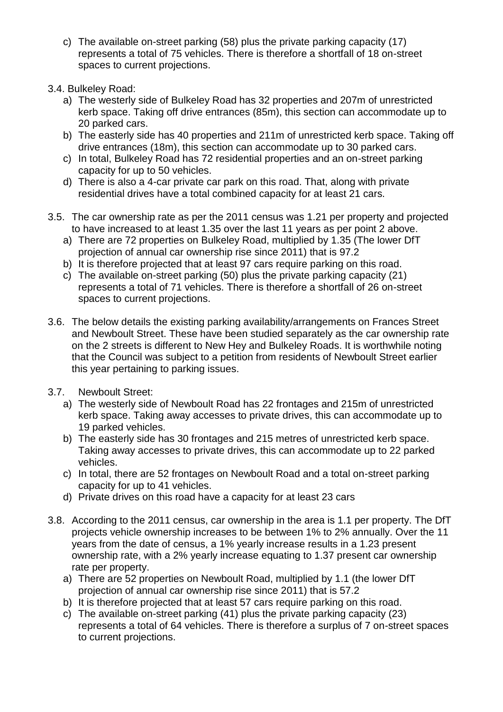- c) The available on-street parking (58) plus the private parking capacity (17) represents a total of 75 vehicles. There is therefore a shortfall of 18 on-street spaces to current projections.
- 3.4. Bulkeley Road:
	- a) The westerly side of Bulkeley Road has 32 properties and 207m of unrestricted kerb space. Taking off drive entrances (85m), this section can accommodate up to 20 parked cars.
	- b) The easterly side has 40 properties and 211m of unrestricted kerb space. Taking off drive entrances (18m), this section can accommodate up to 30 parked cars.
	- c) In total, Bulkeley Road has 72 residential properties and an on-street parking capacity for up to 50 vehicles.
	- d) There is also a 4-car private car park on this road. That, along with private residential drives have a total combined capacity for at least 21 cars.
- 3.5. The car ownership rate as per the 2011 census was 1.21 per property and projected to have increased to at least 1.35 over the last 11 years as per point 2 above.
	- a) There are 72 properties on Bulkeley Road, multiplied by 1.35 (The lower DfT projection of annual car ownership rise since 2011) that is 97.2
	- b) It is therefore projected that at least 97 cars require parking on this road.
	- c) The available on-street parking (50) plus the private parking capacity (21) represents a total of 71 vehicles. There is therefore a shortfall of 26 on-street spaces to current projections.
- 3.6. The below details the existing parking availability/arrangements on Frances Street and Newboult Street. These have been studied separately as the car ownership rate on the 2 streets is different to New Hey and Bulkeley Roads. It is worthwhile noting that the Council was subject to a petition from residents of Newboult Street earlier this year pertaining to parking issues.
- 3.7. Newboult Street:
	- a) The westerly side of Newboult Road has 22 frontages and 215m of unrestricted kerb space. Taking away accesses to private drives, this can accommodate up to 19 parked vehicles.
	- b) The easterly side has 30 frontages and 215 metres of unrestricted kerb space. Taking away accesses to private drives, this can accommodate up to 22 parked vehicles.
	- c) In total, there are 52 frontages on Newboult Road and a total on-street parking capacity for up to 41 vehicles.
	- d) Private drives on this road have a capacity for at least 23 cars
- 3.8. According to the 2011 census, car ownership in the area is 1.1 per property. The DfT projects vehicle ownership increases to be between 1% to 2% annually. Over the 11 years from the date of census, a 1% yearly increase results in a 1.23 present ownership rate, with a 2% yearly increase equating to 1.37 present car ownership rate per property.
	- a) There are 52 properties on Newboult Road, multiplied by 1.1 (the lower DfT projection of annual car ownership rise since 2011) that is 57.2
	- b) It is therefore projected that at least 57 cars require parking on this road.
	- c) The available on-street parking (41) plus the private parking capacity (23) represents a total of 64 vehicles. There is therefore a surplus of 7 on-street spaces to current projections.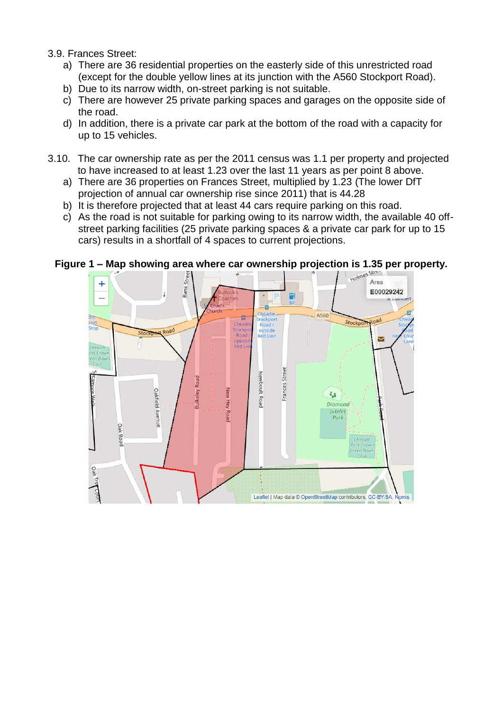#### 3.9. Frances Street:

- a) There are 36 residential properties on the easterly side of this unrestricted road (except for the double yellow lines at its junction with the A560 Stockport Road).
- b) Due to its narrow width, on-street parking is not suitable.
- c) There are however 25 private parking spaces and garages on the opposite side of the road.
- d) In addition, there is a private car park at the bottom of the road with a capacity for up to 15 vehicles.
- 3.10. The car ownership rate as per the 2011 census was 1.1 per property and projected to have increased to at least 1.23 over the last 11 years as per point 8 above.
	- a) There are 36 properties on Frances Street, multiplied by 1.23 (The lower DfT projection of annual car ownership rise since 2011) that is 44.28
	- b) It is therefore projected that at least 44 cars require parking on this road.
	- c) As the road is not suitable for parking owing to its narrow width, the available 40 offstreet parking facilities (25 private parking spaces & a private car park for up to 15 cars) results in a shortfall of 4 spaces to current projections.

### **Figure 1 – Map showing area where car ownership projection is 1.35 per property.**

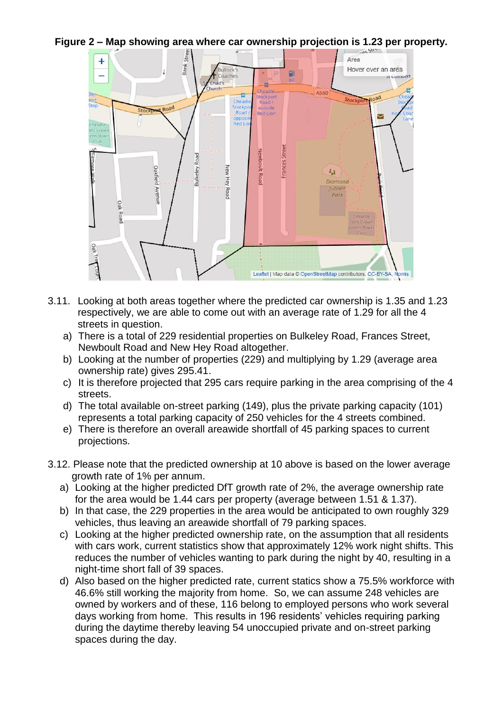**Figure 2 – Map showing area where car ownership projection is 1.23 per property.** 



- 3.11. Looking at both areas together where the predicted car ownership is 1.35 and 1.23 respectively, we are able to come out with an average rate of 1.29 for all the 4 streets in question.
	- a) There is a total of 229 residential properties on Bulkeley Road, Frances Street, Newboult Road and New Hey Road altogether.
	- b) Looking at the number of properties (229) and multiplying by 1.29 (average area ownership rate) gives 295.41.
	- c) It is therefore projected that 295 cars require parking in the area comprising of the 4 streets.
	- d) The total available on-street parking (149), plus the private parking capacity (101) represents a total parking capacity of 250 vehicles for the 4 streets combined.
	- e) There is therefore an overall areawide shortfall of 45 parking spaces to current projections.
- 3.12. Please note that the predicted ownership at 10 above is based on the lower average growth rate of 1% per annum.
	- a) Looking at the higher predicted DfT growth rate of 2%, the average ownership rate for the area would be 1.44 cars per property (average between 1.51 & 1.37).
	- b) In that case, the 229 properties in the area would be anticipated to own roughly 329 vehicles, thus leaving an areawide shortfall of 79 parking spaces.
	- c) Looking at the higher predicted ownership rate, on the assumption that all residents with cars work, current statistics show that approximately 12% work night shifts. This reduces the number of vehicles wanting to park during the night by 40, resulting in a night-time short fall of 39 spaces.
	- d) Also based on the higher predicted rate, current statics show a 75.5% workforce with 46.6% still working the majority from home. So, we can assume 248 vehicles are owned by workers and of these, 116 belong to employed persons who work several days working from home. This results in 196 residents' vehicles requiring parking during the daytime thereby leaving 54 unoccupied private and on-street parking spaces during the day.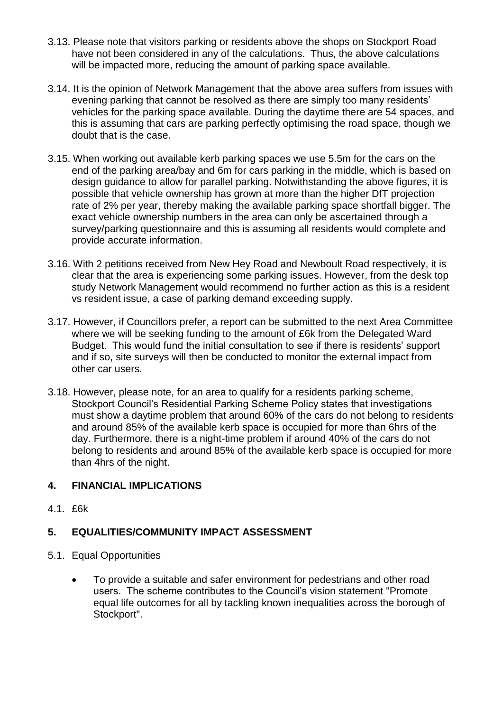- 3.13. Please note that visitors parking or residents above the shops on Stockport Road have not been considered in any of the calculations. Thus, the above calculations will be impacted more, reducing the amount of parking space available.
- 3.14. It is the opinion of Network Management that the above area suffers from issues with evening parking that cannot be resolved as there are simply too many residents' vehicles for the parking space available. During the daytime there are 54 spaces, and this is assuming that cars are parking perfectly optimising the road space, though we doubt that is the case.
- 3.15. When working out available kerb parking spaces we use 5.5m for the cars on the end of the parking area/bay and 6m for cars parking in the middle, which is based on design guidance to allow for parallel parking. Notwithstanding the above figures, it is possible that vehicle ownership has grown at more than the higher DfT projection rate of 2% per year, thereby making the available parking space shortfall bigger. The exact vehicle ownership numbers in the area can only be ascertained through a survey/parking questionnaire and this is assuming all residents would complete and provide accurate information.
- 3.16. With 2 petitions received from New Hey Road and Newboult Road respectively, it is clear that the area is experiencing some parking issues. However, from the desk top study Network Management would recommend no further action as this is a resident vs resident issue, a case of parking demand exceeding supply.
- 3.17. However, if Councillors prefer, a report can be submitted to the next Area Committee where we will be seeking funding to the amount of £6k from the Delegated Ward Budget. This would fund the initial consultation to see if there is residents' support and if so, site surveys will then be conducted to monitor the external impact from other car users.
- 3.18. However, please note, for an area to qualify for a residents parking scheme, Stockport Council's Residential Parking Scheme Policy states that investigations must show a daytime problem that around 60% of the cars do not belong to residents and around 85% of the available kerb space is occupied for more than 6hrs of the day. Furthermore, there is a night-time problem if around 40% of the cars do not belong to residents and around 85% of the available kerb space is occupied for more than 4hrs of the night.

# **4. FINANCIAL IMPLICATIONS**

4.1. £6k

# **5. EQUALITIES/COMMUNITY IMPACT ASSESSMENT**

- 5.1. Equal Opportunities
	- To provide a suitable and safer environment for pedestrians and other road users. The scheme contributes to the Council's vision statement "Promote equal life outcomes for all by tackling known inequalities across the borough of Stockport".